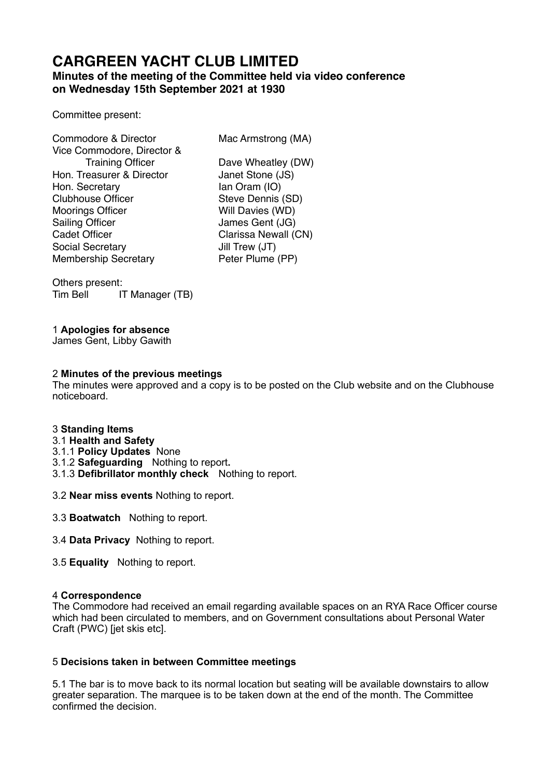# **CARGREEN YACHT CLUB LIMITED**

# **Minutes of the meeting of the Committee held via video conference on Wednesday 15th September 2021 at 1930**

Committee present:

| Commodore & Director        | Mac Armstrong (MA)   |
|-----------------------------|----------------------|
| Vice Commodore, Director &  |                      |
| <b>Training Officer</b>     | Dave Wheatley (DW)   |
| Hon. Treasurer & Director   | Janet Stone (JS)     |
| Hon. Secretary              | lan Oram (IO)        |
| <b>Clubhouse Officer</b>    | Steve Dennis (SD)    |
| <b>Moorings Officer</b>     | Will Davies (WD)     |
| <b>Sailing Officer</b>      | James Gent (JG)      |
| <b>Cadet Officer</b>        | Clarissa Newall (CN) |
| Social Secretary            | Jill Trew (JT)       |
| <b>Membership Secretary</b> | Peter Plume (PP)     |

Others present: Tim Bell IT Manager (TB)

# 1 **Apologies for absence**

James Gent, Libby Gawith

## 2 **Minutes of the previous meetings**

The minutes were approved and a copy is to be posted on the Club website and on the Clubhouse noticeboard.

#### 3 **Standing Items**

- 3.1 **Health and Safety**
- 3.1.1 **Policy Updates** None
- 3.1.2 **Safeguarding** Nothing to report**.**
- 3.1.3 **Defibrillator monthly check** Nothing to report.
- 3.2 **Near miss events** Nothing to report.
- 3.3 **Boatwatch** Nothing to report.
- 3.4 **Data Privacy** Nothing to report.
- 3.5 **Equality** Nothing to report.

#### 4 **Correspondence**

The Commodore had received an email regarding available spaces on an RYA Race Officer course which had been circulated to members, and on Government consultations about Personal Water Craft (PWC) [jet skis etc].

## 5 **Decisions taken in between Committee meetings**

5.1 The bar is to move back to its normal location but seating will be available downstairs to allow greater separation. The marquee is to be taken down at the end of the month. The Committee confirmed the decision.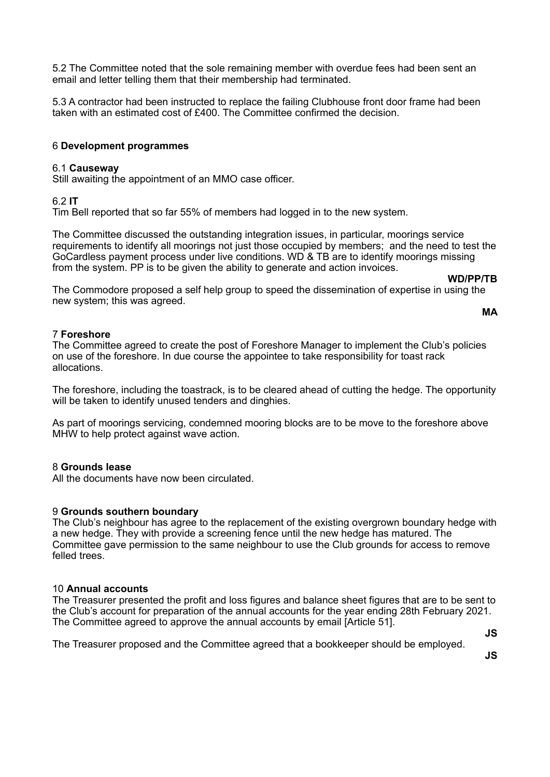5.2 The Committee noted that the sole remaining member with overdue fees had been sent an email and letter telling them that their membership had terminated.

5.3 A contractor had been instructed to replace the failing Clubhouse front door frame had been taken with an estimated cost of £400. The Committee confirmed the decision.

#### 6 **Development programmes**

#### 6.1 **Causeway**

Still awaiting the appointment of an MMO case officer.

#### 6.2 **IT**

Tim Bell reported that so far 55% of members had logged in to the new system.

The Committee discussed the outstanding integration issues, in particular, moorings service requirements to identify all moorings not just those occupied by members; and the need to test the GoCardless payment process under live conditions. WD & TB are to identify moorings missing from the system. PP is to be given the ability to generate and action invoices.

**WD/PP/TB** 

The Commodore proposed a self help group to speed the dissemination of expertise in using the new system; this was agreed.

#### **MA**

#### 7 **Foreshore**

The Committee agreed to create the post of Foreshore Manager to implement the Club's policies on use of the foreshore. In due course the appointee to take responsibility for toast rack allocations.

The foreshore, including the toastrack, is to be cleared ahead of cutting the hedge. The opportunity will be taken to identify unused tenders and dinghies.

As part of moorings servicing, condemned mooring blocks are to be move to the foreshore above MHW to help protect against wave action.

#### 8 **Grounds lease**

All the documents have now been circulated.

#### 9 **Grounds southern boundary**

The Club's neighbour has agree to the replacement of the existing overgrown boundary hedge with a new hedge. They with provide a screening fence until the new hedge has matured. The Committee gave permission to the same neighbour to use the Club grounds for access to remove felled trees.

#### 10 **Annual accounts**

The Treasurer presented the profit and loss figures and balance sheet figures that are to be sent to the Club's account for preparation of the annual accounts for the year ending 28th February 2021. The Committee agreed to approve the annual accounts by email [Article 51].

**JS** 

The Treasurer proposed and the Committee agreed that a bookkeeper should be employed.